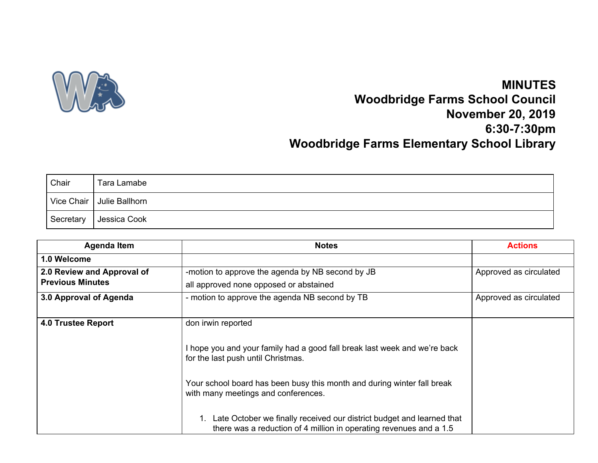

## **MINUTES Woodbridge Farms School Council November 20, 2019 6:30-7:30pm Woodbridge Farms Elementary School Library**

| Chair     | Tara Lamabe                 |
|-----------|-----------------------------|
|           | Vice Chair   Julie Ballhorn |
| Secretary | Jessica Cook                |

| <b>Agenda Item</b>         | <b>Notes</b>                                                                                                                                                                                                                                                                                                                                                                                           | <b>Actions</b>         |
|----------------------------|--------------------------------------------------------------------------------------------------------------------------------------------------------------------------------------------------------------------------------------------------------------------------------------------------------------------------------------------------------------------------------------------------------|------------------------|
| 1.0 Welcome                |                                                                                                                                                                                                                                                                                                                                                                                                        |                        |
| 2.0 Review and Approval of | -motion to approve the agenda by NB second by JB                                                                                                                                                                                                                                                                                                                                                       | Approved as circulated |
| <b>Previous Minutes</b>    | all approved none opposed or abstained                                                                                                                                                                                                                                                                                                                                                                 |                        |
| 3.0 Approval of Agenda     | - motion to approve the agenda NB second by TB                                                                                                                                                                                                                                                                                                                                                         | Approved as circulated |
| 4.0 Trustee Report         | don irwin reported<br>I hope you and your family had a good fall break last week and we're back<br>for the last push until Christmas.<br>Your school board has been busy this month and during winter fall break<br>with many meetings and conferences.<br>Late October we finally received our district budget and learned that<br>there was a reduction of 4 million in operating revenues and a 1.5 |                        |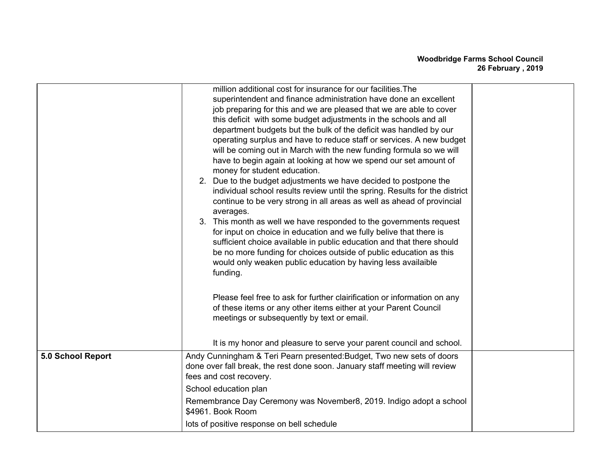|                   | million additional cost for insurance for our facilities. The<br>superintendent and finance administration have done an excellent<br>job preparing for this and we are pleased that we are able to cover<br>this deficit with some budget adjustments in the schools and all<br>department budgets but the bulk of the deficit was handled by our<br>operating surplus and have to reduce staff or services. A new budget<br>will be coming out in March with the new funding formula so we will<br>have to begin again at looking at how we spend our set amount of<br>money for student education.<br>2. Due to the budget adjustments we have decided to postpone the<br>individual school results review until the spring. Results for the district<br>continue to be very strong in all areas as well as ahead of provincial<br>averages.<br>3. This month as well we have responded to the governments request<br>for input on choice in education and we fully belive that there is<br>sufficient choice available in public education and that there should<br>be no more funding for choices outside of public education as this<br>would only weaken public education by having less availaible<br>funding.<br>Please feel free to ask for further clairification or information on any |  |
|-------------------|---------------------------------------------------------------------------------------------------------------------------------------------------------------------------------------------------------------------------------------------------------------------------------------------------------------------------------------------------------------------------------------------------------------------------------------------------------------------------------------------------------------------------------------------------------------------------------------------------------------------------------------------------------------------------------------------------------------------------------------------------------------------------------------------------------------------------------------------------------------------------------------------------------------------------------------------------------------------------------------------------------------------------------------------------------------------------------------------------------------------------------------------------------------------------------------------------------------------------------------------------------------------------------------------------|--|
|                   | of these items or any other items either at your Parent Council<br>meetings or subsequently by text or email.<br>It is my honor and pleasure to serve your parent council and school.                                                                                                                                                                                                                                                                                                                                                                                                                                                                                                                                                                                                                                                                                                                                                                                                                                                                                                                                                                                                                                                                                                             |  |
| 5.0 School Report | Andy Cunningham & Teri Pearn presented: Budget, Two new sets of doors<br>done over fall break, the rest done soon. January staff meeting will review<br>fees and cost recovery.                                                                                                                                                                                                                                                                                                                                                                                                                                                                                                                                                                                                                                                                                                                                                                                                                                                                                                                                                                                                                                                                                                                   |  |
|                   | School education plan<br>Remembrance Day Ceremony was November8, 2019. Indigo adopt a school<br>\$4961. Book Room<br>lots of positive response on bell schedule                                                                                                                                                                                                                                                                                                                                                                                                                                                                                                                                                                                                                                                                                                                                                                                                                                                                                                                                                                                                                                                                                                                                   |  |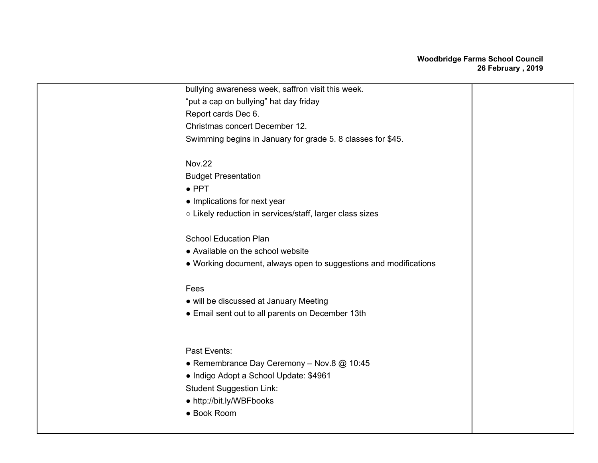## **Woodbridge Farms School Council 26 February , 2019**

| bullying awareness week, saffron visit this week.                |  |
|------------------------------------------------------------------|--|
| "put a cap on bullying" hat day friday                           |  |
| Report cards Dec 6.                                              |  |
| Christmas concert December 12.                                   |  |
| Swimming begins in January for grade 5. 8 classes for \$45.      |  |
|                                                                  |  |
| <b>Nov.22</b>                                                    |  |
| <b>Budget Presentation</b>                                       |  |
| $\bullet$ PPT                                                    |  |
| • Implications for next year                                     |  |
| o Likely reduction in services/staff, larger class sizes         |  |
|                                                                  |  |
| <b>School Education Plan</b>                                     |  |
| • Available on the school website                                |  |
| • Working document, always open to suggestions and modifications |  |
|                                                                  |  |
| Fees                                                             |  |
| • will be discussed at January Meeting                           |  |
| • Email sent out to all parents on December 13th                 |  |
|                                                                  |  |
|                                                                  |  |
| Past Events:                                                     |  |
| • Remembrance Day Ceremony - Nov.8 @ 10:45                       |  |
| · Indigo Adopt a School Update: \$4961                           |  |
| <b>Student Suggestion Link:</b>                                  |  |
| • http://bit.ly/WBFbooks                                         |  |
| • Book Room                                                      |  |
|                                                                  |  |
|                                                                  |  |